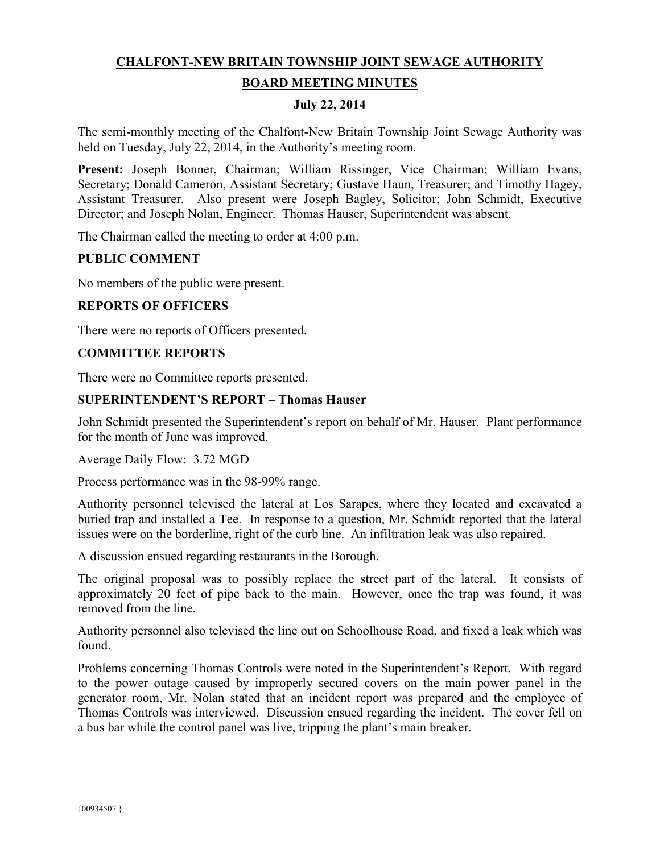# **CHALFONT-NEW BRITAIN TOWNSHIP JOINT SEWAGE AUTHORITY**

### **BOARD MEETING MINUTES**

#### **July 22, 2014**

The semi-monthly meeting of the Chalfont-New Britain Township Joint Sewage Authority was held on Tuesday, July 22, 2014, in the Authority's meeting room.

**Present:** Joseph Bonner, Chairman; William Rissinger, Vice Chairman; William Evans, Secretary; Donald Cameron, Assistant Secretary; Gustave Haun, Treasurer; and Timothy Hagey, Assistant Treasurer. Also present were Joseph Bagley, Solicitor; John Schmidt, Executive Director; and Joseph Nolan, Engineer. Thomas Hauser, Superintendent was absent.

The Chairman called the meeting to order at 4:00 p.m.

### **PUBLIC COMMENT**

No members of the public were present.

### **REPORTS OF OFFICERS**

There were no reports of Officers presented.

#### **COMMITTEE REPORTS**

There were no Committee reports presented.

### **SUPERINTENDENT'S REPORT – Thomas Hauser**

John Schmidt presented the Superintendent's report on behalf of Mr. Hauser. Plant performance for the month of June was improved.

Average Daily Flow: 3.72 MGD

Process performance was in the 98-99% range.

Authority personnel televised the lateral at Los Sarapes, where they located and excavated a buried trap and installed a Tee. In response to a question, Mr. Schmidt reported that the lateral issues were on the borderline, right of the curb line. An infiltration leak was also repaired.

A discussion ensued regarding restaurants in the Borough.

The original proposal was to possibly replace the street part of the lateral. It consists of approximately 20 feet of pipe back to the main. However, once the trap was found, it was removed from the line.

Authority personnel also televised the line out on Schoolhouse Road, and fixed a leak which was found.

Problems concerning Thomas Controls were noted in the Superintendent's Report. With regard to the power outage caused by improperly secured covers on the main power panel in the generator room, Mr. Nolan stated that an incident report was prepared and the employee of Thomas Controls was interviewed. Discussion ensued regarding the incident. The cover fell on a bus bar while the control panel was live, tripping the plant's main breaker.